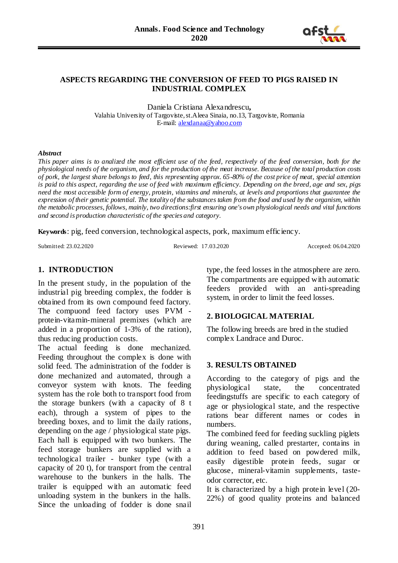

#### **ASPECTS REGARDING THE CONVERSION OF FEED TO PIGS RAISED IN INDUSTRIAL COMPLEX**

Daniela Cristiana Alexandrescu**,**  Valahia University of Targoviste, st.Aleea Sinaia, no.13, Targoviste, Romania E-mail: [alexdanaa@yahoo.com](mailto:alexdanaa@yahoo.com)

#### *Abstract*

*This paper aims is to analized the most efficient use of the feed, respectively of the feed conversion, both for the physiological needs of the organism, and for the production of the meat increase. Because of the total production costs of pork, the largest share belongs to feed, this representing approx. 65-80% of the cost price of meat, special attention is paid to this aspect, regarding the use of feed with maximum efficiency. Depending on the breed, age and sex, pigs need the most accessible form of energy, protein, vitamins and minerals, at levels and proportions that guarantee the expression of their genetic potential. The totality of the substances taken from the food and used by the organism, within the metabolic processes, follows, mainly, two directions:first ensuring one's own physiological needs and vital functions and second is production characteristic of the species and category.*

**Keywords**: pig, feed conversion, technological aspects, pork, maximum efficiency.

Submitted: 23.02.2020 Reviewed: 17.03.2020 Accepted: 06.04.2020

## **1. INTRODUCTION**

In the present study, in the population of the industrial pig breeding complex, the fodder is obtained from its own compound feed factory. The compuond feed factory uses PVM protein-vitamin-mineral premixes (which are added in a proportion of 1-3% of the ration), thus reducing production costs.

The actual feeding is done mechanized. Feeding throughout the complex is done with solid feed. The administration of the fodder is done mechanized and automated, through a conveyor system with knots. The feeding system has the role both to transport food from the storage bunkers (with a capacity of 8 t each), through a system of pipes to the breeding boxes, and to limit the daily rations, depending on the age / physiological state pigs. Each hall is equipped with two bunkers. The feed storage bunkers are supplied with a technological trailer - bunker type (with a capacity of 20 t), for transport from the central warehouse to the bunkers in the halls. The trailer is equipped with an automatic feed unloading system in the bunkers in the halls. Since the unloading of fodder is done snail type, the feed losses in the atmosphere are zero. The compartments are equipped with automatic feeders provided with an anti-spreading system, in order to limit the feed losses.

# **2. BIOLOGICAL MATERIAL**

The following breeds are bred in the studied complex Landrace and Duroc.

## **3. RESULTS OBTAINED**

According to the category of pigs and the physiological state, the concentrated feedingstuffs are specific to each category of age or physiological state, and the respective rations bear different names or codes in numbers.

The combined feed for feeding suckling piglets during weaning, called prestarter, contains in addition to feed based on powdered milk, easily digestible protein feeds, sugar or glucose, mineral-vitamin supplements, tasteodor corrector, etc.

It is characterized by a high protein level (20- 22%) of good quality proteins and balanced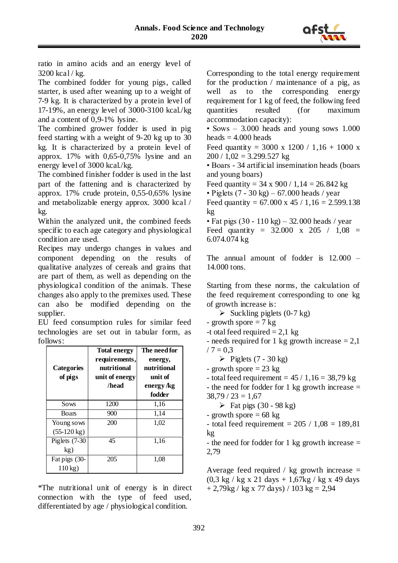

ratio in amino acids and an energy level of 3200 kcal / kg.

The combined fodder for young pigs, called starter, is used after weaning up to a weight of 7-9 kg. It is characterized by a protein level of 17-19%, an energy level of 3000-3100 kcal./kg and a content of 0,9-1% lysine.

The combined grower fodder is used in pig feed starting with a weight of 9-20 kg up to 30 kg. It is characterized by a protein level of approx. 17% with 0,65-0,75% lysine and an energy level of 3000 kcal./kg.

The combined finisher fodder is used in the last part of the fattening and is characterized by approx. 17% crude protein, 0,55-0,65% lysine and metabolizable energy approx. 3000 kcal / kg.

Within the analyzed unit, the combined feeds specific to each age category and physiological condition are used.

Recipes may undergo changes in values and component depending on the results of qualitative analyzes of cereals and grains that are part of them, as well as depending on the physiological condition of the animals. These changes also apply to the premixes used. These can also be modified depending on the supplier.

EU feed consumption rules for similar feed technologies are set out in tabular form, as follows:

| <b>Categories</b><br>of pigs | <b>Total energy</b><br>requirements,<br>nutritional<br>unit of energy<br>/head | The need for<br>energy,<br>nutritional<br>unit of<br>energy /kg<br>fodder |
|------------------------------|--------------------------------------------------------------------------------|---------------------------------------------------------------------------|
| Sows                         | 1200                                                                           | 1,16                                                                      |
| <b>Boars</b>                 | 900                                                                            | 1,14                                                                      |
| Young sows                   | 200                                                                            | 1,02                                                                      |
| $(55-120 \text{ kg})$        |                                                                                |                                                                           |
| Piglets $(7-30)$             | 45                                                                             | 1,16                                                                      |
| kg)                          |                                                                                |                                                                           |
| Fat pigs (30-                | 205                                                                            | 1,08                                                                      |
| $110 \text{ kg}$             |                                                                                |                                                                           |

\*The nutritional unit of energy is in direct connection with the type of feed used, differentiated by age / physiological condition.

Corresponding to the total energy requirement for the production / maintenance of a pig, as well as to the corresponding energy requirement for 1 kg of feed, the following feed quantities resulted (for maximum accommodation capacity):

• Sows – 3.000 heads and young sows 1.000 heads  $= 4.000$  heads

Feed quantity =  $3000 \times 1200 / 1,16 + 1000 \times$  $200 / 1,02 = 3.299.527$  kg

• Boars - 34 artificial insemination heads (boars and young boars)

Feed quantity =  $34 \times 900 / 1,14 = 26.842$  kg

• Piglets  $(7 - 30 \text{ kg}) - 67.000 \text{ heads}$  / year

Feed quantity =  $67.000 \times 45 / 1,16 = 2.599.138$ kg

• Fat pigs  $(30 - 110 \text{ kg}) - 32.000 \text{ heads}$  / year Feed quantity =  $32.000 \times 205 / 1,08 =$ 6.074.074 kg

The annual amount of fodder is 12.000 – 14.000 tons.

Starting from these norms, the calculation of the feed requirement corresponding to one kg of growth increase is:

 $\triangleright$  Suckling piglets (0-7 kg)

- growth spore  $= 7 \text{ kg}$
- -t otal feed required  $= 2.1 \text{ kg}$

- needs required for 1 kg growth increase  $= 2.1$  $/ 7 = 0.3$ 

 $\triangleright$  Piglets (7 - 30 kg)

- growth spore  $= 23 \text{ kg}$
- total feed requirement =  $45/1,16 = 38,79$  kg
- the need for fodder for 1 kg growth increase =  $38,79 / 23 = 1,67$ 
	- $\triangleright$  Fat pigs (30 98 kg)
- growth spore  $= 68 \text{ kg}$
- total feed requirement =  $205 / 1,08 = 189,81$ kg

- the need for fodder for 1 kg growth increase  $=$ 2,79

Average feed required / kg growth increase  $=$  $(0,3 \text{ kg} / \text{ kg} \times 21 \text{ days} + 1,67 \text{ kg} / \text{ kg} \times 49 \text{ days})$  $+ 2,79$ kg / kg x 77 days) / 103 kg = 2,94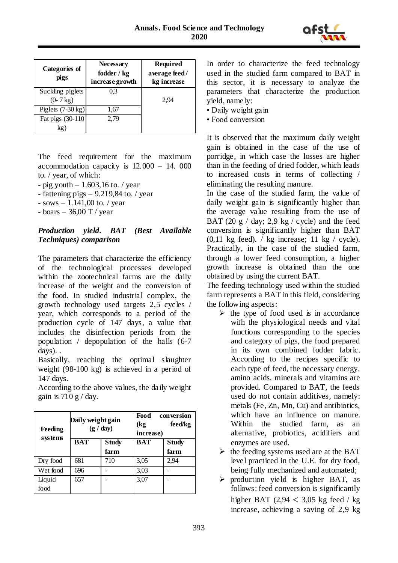

| <b>Categories of</b><br>pigs             | Necessary<br>fodder / kg<br>increase growth | <b>Required</b><br>average feed/<br>kg increase |
|------------------------------------------|---------------------------------------------|-------------------------------------------------|
| Suckling piglets<br>$(0 - 7 \text{ kg})$ | 0.3                                         | 2.94                                            |
| Piglets $(7-30 \text{ kg})$              | 1,67                                        |                                                 |
| Fat pigs (30-110)<br>kg`                 | 2,79                                        |                                                 |

The feed requirement for the maximum accommodation capacity is 12.000 – 14. 000 to. / year, of which:

- pig youth  $-1.603,16$  to. / year

- fattening pigs  $-$  9.219,84 to. / year

 $-$  sows  $-1.141,00$  to. / year

- boars  $-36,00$  T / year

## *Production yield. BAT (Best Available Techniques) comparison*

The parameters that characterize the efficiency of the technological processes developed within the zootechnical farms are the daily increase of the weight and the conversion of the food. In studied industrial complex, the growth technology used targets 2,5 cycles / year, which corresponds to a period of the production cycle of 147 days, a value that includes the disinfection periods from the population / depopulation of the halls (6-7 days). .

Basically, reaching the optimal slaughter weight (98-100 kg) is achieved in a period of 147 days.

| Feeding<br>systems | Daily weight gain<br>(g / day) |                      | Food<br><b>conversion</b><br>feed/kg<br>(kg<br>increase) |                      |
|--------------------|--------------------------------|----------------------|----------------------------------------------------------|----------------------|
|                    | <b>BAT</b>                     | <b>Study</b><br>farm | <b>BAT</b>                                               | <b>Study</b><br>farm |
| Dry food           | 681                            | 710                  | 3,05                                                     | 2,94                 |
| Wet food           | 696                            |                      | 3,03                                                     |                      |
| Liquid<br>food     | 657                            |                      | 3,07                                                     |                      |

According to the above values, the daily weight gain is  $710 g / day$ .

In order to characterize the feed technology used in the studied farm compared to BAT in this sector, it is necessary to analyze the parameters that characterize the production yield, namely:

- Daily weight gain
- Food conversion

It is observed that the maximum daily weight gain is obtained in the case of the use of porridge, in which case the losses are higher than in the feeding of dried fodder, which leads to increased costs in terms of collecting / eliminating the resulting manure.

In the case of the studied farm, the value of daily weight gain is significantly higher than the average value resulting from the use of BAT (20 g / day; 2,9 kg / cycle) and the feed conversion is significantly higher than BAT  $(0,11 \text{ kg feed})$ . / kg increase; 11 kg / cycle). Practically, in the case of the studied farm, through a lower feed consumption, a higher growth increase is obtained than the one obtained by using the current BAT.

The feeding technology used within the studied farm represents a BAT in this field, considering the following aspects:

- $\triangleright$  the type of food used is in accordance with the physiological needs and vital functions corresponding to the species and category of pigs, the food prepared in its own combined fodder fabric. According to the recipes specific to each type of feed, the necessary energy, amino acids, minerals and vitamins are provided. Compared to BAT, the feeds used do not contain additives, namely: metals (Fe, Zn, Mn, Cu) and antibiotics, which have an influence on manure. Within the studied farm, as an alternative, probiotics, acidifiers and enzymes are used.
- $\triangleright$  the feeding systems used are at the BAT level practiced in the U.E. for dry food, being fully mechanized and automated;
- $\triangleright$  production yield is higher BAT, as follows: feed conversion is significantly higher BAT  $(2,94 < 3,05 \text{ kg feed } / \text{ kg})$ increase, achieving a saving of 2,9 kg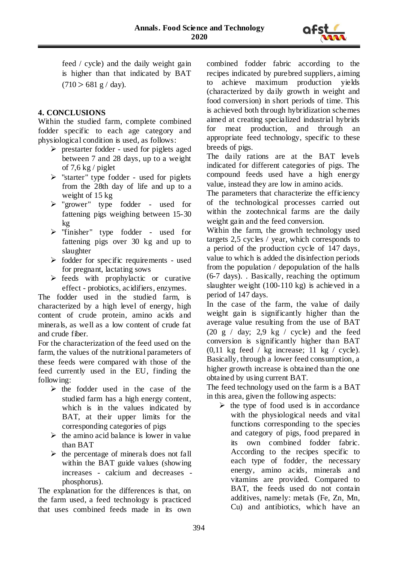

feed / cycle) and the daily weight gain is higher than that indicated by BAT  $(710 > 681 \text{ g} / \text{day}).$ 

## **4. CONCLUSIONS**

Within the studied farm, complete combined fodder specific to each age category and physiological condition is used, as follows:

- $\triangleright$  prestarter fodder used for piglets aged between 7 and 28 days, up to a weight of  $7.6 \text{ kg}$  / piglet
- $\triangleright$  "starter" type fodder used for piglets from the 28th day of life and up to a weight of 15 kg
- $\triangleright$  "grower" type fodder used for fattening pigs weighing between 15-30 kg
- $\triangleright$  "finisher" type fodder used for fattening pigs over 30 kg and up to slaughter
- $\triangleright$  fodder for specific requirements used for pregnant, lactating sows
- $\triangleright$  feeds with prophylactic or curative effect - probiotics, acidifiers, enzymes.

The fodder used in the studied farm, is characterized by a high level of energy, high content of crude protein, amino acids and minerals, as well as a low content of crude fat and crude fiber.

For the characterization of the feed used on the farm, the values of the nutritional parameters of these feeds were compared with those of the feed currently used in the EU, finding the following:

- $\triangleright$  the fodder used in the case of the studied farm has a high energy content, which is in the values indicated by BAT, at their upper limits for the corresponding categories of pigs
- $\triangleright$  the amino acid balance is lower in value than BAT
- $\triangleright$  the percentage of minerals does not fall within the BAT guide values (showing increases - calcium and decreases phosphorus).

The explanation for the differences is that, on the farm used, a feed technology is practiced that uses combined feeds made in its own combined fodder fabric according to the recipes indicated by purebred suppliers, aiming to achieve maximum production yields (characterized by daily growth in weight and food conversion) in short periods of time. This is achieved both through hybridization schemes aimed at creating specialized industrial hybrids for meat production, and through an appropriate feed technology, specific to these breeds of pigs.

The daily rations are at the BAT levels indicated for different categories of pigs. The compound feeds used have a high energy value, instead they are low in amino acids.

The parameters that characterize the efficiency of the technological processes carried out within the zootechnical farms are the daily weight gain and the feed conversion.

Within the farm, the growth technology used targets 2,5 cycles / year, which corresponds to a period of the production cycle of 147 days, value to which is added the disinfection periods from the population / depopulation of the halls (6-7 days). . Basically, reaching the optimum slaughter weight (100-110 kg) is achieved in a period of 147 days.

In the case of the farm, the value of daily weight gain is significantly higher than the average value resulting from the use of BAT (20 g / day; 2.9 kg / cycle) and the feed conversion is significantly higher than BAT  $(0,11 \text{ kg feed } / \text{ kg increase}; 11 \text{ kg } / \text{ cycle}).$ Basically, through a lower feed consumption, a higher growth increase is obtained than the one obtained by using current BAT.

The feed technology used on the farm is a BAT in this area, given the following aspects:

 $\triangleright$  the type of food used is in accordance with the physiological needs and vital functions corresponding to the species and category of pigs, food prepared in its own combined fodder fabric. According to the recipes specific to each type of fodder, the necessary energy, amino acids, minerals and vitamins are provided. Compared to BAT, the feeds used do not contain additives, namely: metals (Fe, Zn, Mn, Cu) and antibiotics, which have an